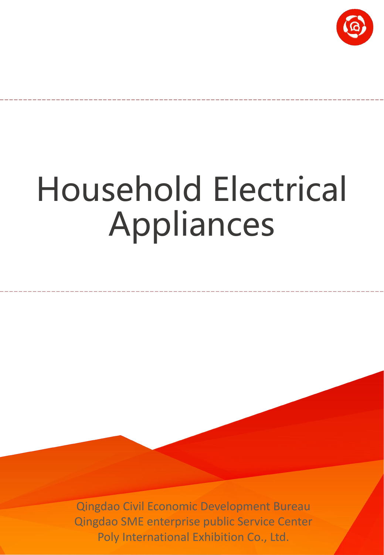

# Household Electrical Appliances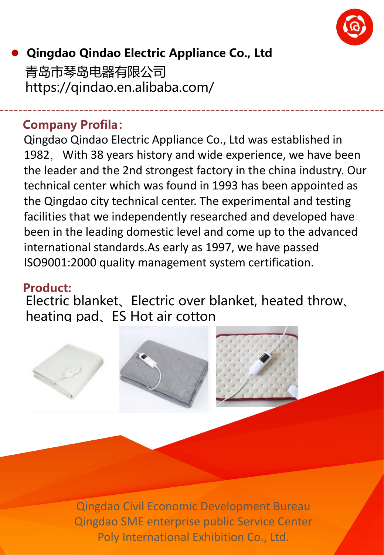

# l **Qingdao Qindao Electric Appliance Co., Ltd** 青岛市琴岛电器有限公司 https://qindao.en.alibaba.com/

#### **Company Profila:**

Qingdao Qindao Electric Appliance Co., Ltd was established in 1982, With 38 years history and wide experience, we have been the leader and the 2nd strongest factory in the china industry. Our technical center which was found in 1993 has been appointed as the Qingdao city technical center. The experimental and testing facilities that we independently researched and developed have been in the leading domestic level and come up to the advanced international standards.As early as 1997, we have passed ISO9001:2000 quality management system certification.

#### **Product:**

Electric blanket、Electric over blanket, heated throw、 heating pad、ES Hot air cotton

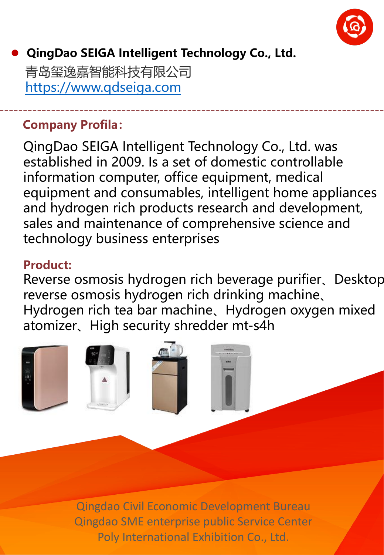

# l **QingDao SEIGA Intelligent Technology Co., Ltd.**

青岛玺逸嘉智能科技有限公司 https://www.qdseiga.com

#### **Company Profila:**

QingDao SEIGA Intelligent Technology Co., Ltd. was established in 2009. Is a set of domestic controllable information computer, office equipment, medical equipment and consumables, intelligent home appliances and hydrogen rich products research and development, sales and maintenance of comprehensive science and technology business enterprises

#### **Product:**

Reverse osmosis hydrogen rich beverage purifier、Desktop reverse osmosis hydrogen rich drinking machine、 Hydrogen rich tea bar machine、Hydrogen oxygen mixed atomizer、High security shredder mt-s4h

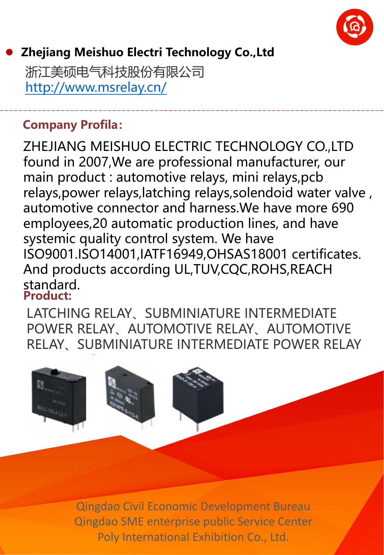

#### l **Zhejiang Meishuo Electri Technology Co.,Ltd**

浙江美硕电气科技股份有限公司 http://www.msrelay.cn/

#### **Company Profila:**

ZHEJIANG MEISHUO ELECTRIC TECHNOLOGY CO.,LTD found in 2007,We are professional manufacturer, our main product : automotive relays, mini relays,pcb relays,power relays,latching relays,solendoid water valve , automotive connector and harness.We have more 690 employees,20 automatic production lines, and have systemic quality control system. We have ISO9001.ISO14001,IATF16949,OHSAS18001 certificates. And products according UL,TUV,CQC,ROHS,REACH standard. **Product:**

LATCHING RELAY、SUBMINIATURE INTERMEDIATE POWER RELAY、AUTOMOTIVE RELAY、AUTOMOTIVE RELAY、SUBMINIATURE INTERMEDIATE POWER RELAY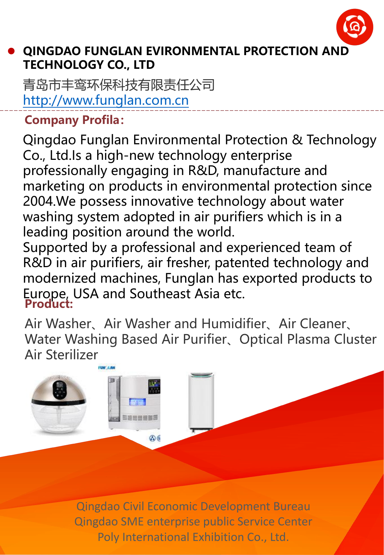

#### l **QINGDAO FUNGLAN EVIRONMENTAL PROTECTION AND TECHNOLOGY CO., LTD**

青岛市丰鸾环保科技有限责任公司 http://www.funglan.com.cn

**Company Profila:**

Qingdao Funglan Environmental Protection & Technology Co., Ltd.Is a high-new technology enterprise professionally engaging in R&D, manufacture and marketing on products in environmental protection since 2004.We possess innovative technology about water washing system adopted in air purifiers which is in a leading position around the world.

Supported by a professional and experienced team of R&D in air purifiers, air fresher, patented technology and modernized machines, Funglan has exported products to Europe, USA and Southeast Asia etc. **Product:**

Air Washer、Air Washer and Humidifier、Air Cleaner、 Water Washing Based Air Purifier、Optical Plasma Cluster Air Sterilizer

> Qingdao Civil Economic Development Bureau Qingdao SME enterprise public Service Center Poly International Exhibition Co., Ltd.

செ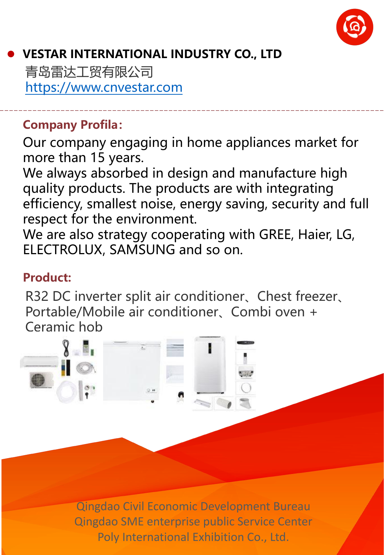

## l **VESTAR INTERNATIONAL INDUSTRY CO., LTD**

青岛雷达工贸有限公司 https://www.cnvestar.com

#### **Company Profila:**

Our company engaging in home appliances market for more than 15 years.

We always absorbed in design and manufacture high quality products. The products are with integrating efficiency, smallest noise, energy saving, security and full respect for the environment.

We are also strategy cooperating with GREE, Haier, LG, ELECTROLUX, SAMSUNG and so on.

#### **Product:**

R32 DC inverter split air conditioner、Chest freezer、 Portable/Mobile air conditioner、Combi oven + Ceramic hob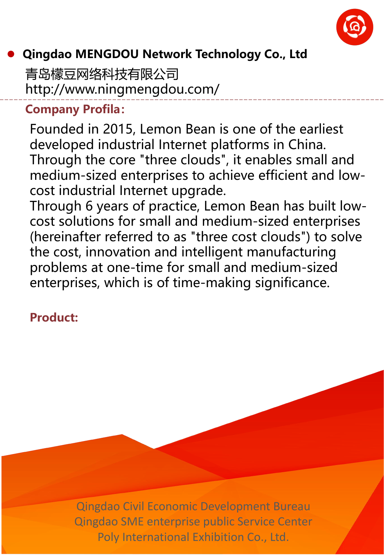

# l **Qingdao MENGDOU Network Technology Co., Ltd**

青岛檬豆网络科技有限公司 http://www.ningmengdou.com/

#### **Company Profila:**

Founded in 2015, Lemon Bean is one of the earliest developed industrial Internet platforms in China. Through the core "three clouds", it enables small and medium-sized enterprises to achieve efficient and low cost industrial Internet upgrade.

Through 6 years of practice, Lemon Bean has built low cost solutions for small and medium-sized enterprises (hereinafter referred to as "three cost clouds") to solve the cost, innovation and intelligent manufacturing problems at one-time for small and medium-sized enterprises, which is of time-making significance.

#### **Product:**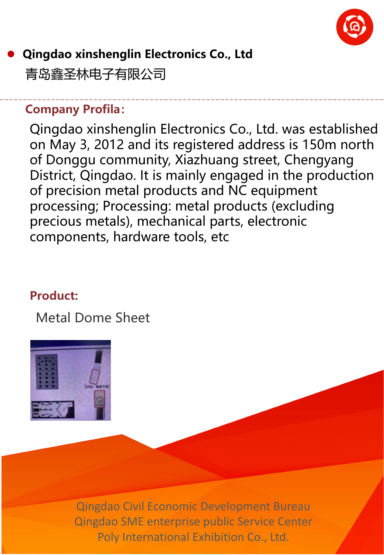

# l **Qingdao xinshenglin Electronics Co., Ltd** 青岛鑫圣林电子有限公司

#### **Company Profila:**

Qingdao xinshenglin Electronics Co., Ltd. was established on May 3, 2012 and its registered address is 150m north of Donggu community, Xiazhuang street, Chengyang District, Qingdao. It is mainly engaged in the production of precision metal products and NC equipment processing; Processing: metal products (excluding precious metals), mechanical parts, electronic components, hardware tools, etc

#### **Product:**

Metal Dome Sheet

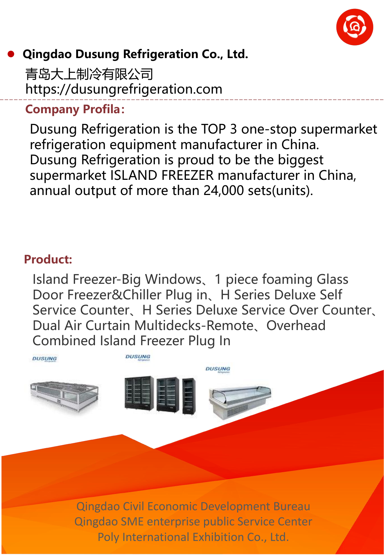

#### l **Qingdao Dusung Refrigeration Co., Ltd.**

青岛大上制冷有限公司 https://dusungrefrigeration.com

#### **Company Profila:**

Dusung Refrigeration is the TOP 3 one-stop supermarket refrigeration equipment manufacturer in China. Dusung Refrigeration is proud to be the biggest supermarket ISLAND FREEZER manufacturer in China, annual output of more than 24,000 sets(units).

#### **Product:**

Island Freezer-Big Windows、1 piece foaming Glass Door Freezer&Chiller Plug in、H Series Deluxe Self Service Counter、H Series Deluxe Service Over Counter、 Dual Air Curtain Multidecks-Remote、Overhead Combined Island Freezer Plug In

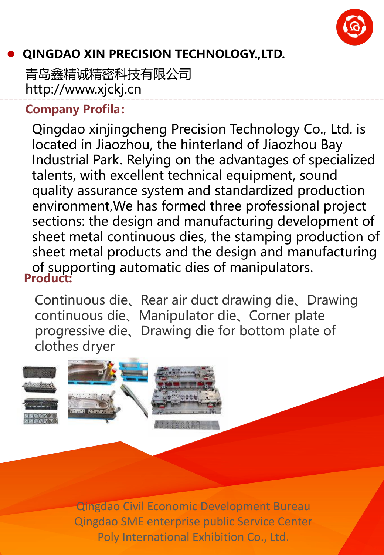

# l **QINGDAO XIN PRECISION TECHNOLOGY.,LTD.**

青岛鑫精诚精密科技有限公司 http://www.xjckj.cn

#### **Company Profila:**

**Product:** Qingdao xinjingcheng Precision Technology Co., Ltd. is located in Jiaozhou, the hinterland of Jiaozhou Bay Industrial Park. Relying on the advantages of specialized talents, with excellent technical equipment, sound quality assurance system and standardized production environment,We has formed three professional project sections: the design and manufacturing development of sheet metal continuous dies, the stamping production of sheet metal products and the design and manufacturing of supporting automatic dies of manipulators.

Continuous die、Rear air duct drawing die、Drawing continuous die、Manipulator die、Corner plate progressive die、Drawing die for bottom plate of clothes dryer

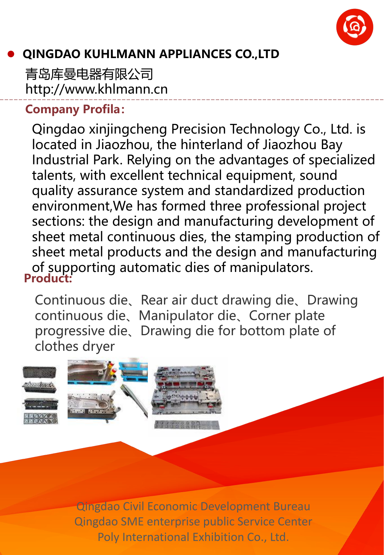

# l **QINGDAO KUHLMANN APPLIANCES CO.,LTD**

青岛库曼电器有限公司 http://www.khlmann.cn

#### **Company Profila:**

**Product:** Qingdao xinjingcheng Precision Technology Co., Ltd. is located in Jiaozhou, the hinterland of Jiaozhou Bay Industrial Park. Relying on the advantages of specialized talents, with excellent technical equipment, sound quality assurance system and standardized production environment,We has formed three professional project sections: the design and manufacturing development of sheet metal continuous dies, the stamping production of sheet metal products and the design and manufacturing of supporting automatic dies of manipulators.

Continuous die、Rear air duct drawing die、Drawing continuous die、Manipulator die、Corner plate progressive die、Drawing die for bottom plate of clothes dryer

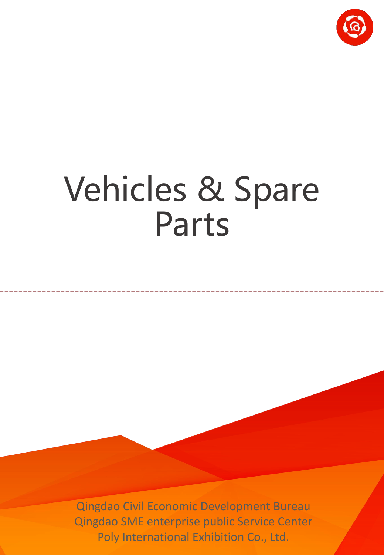

# Vehicles & Spare Parts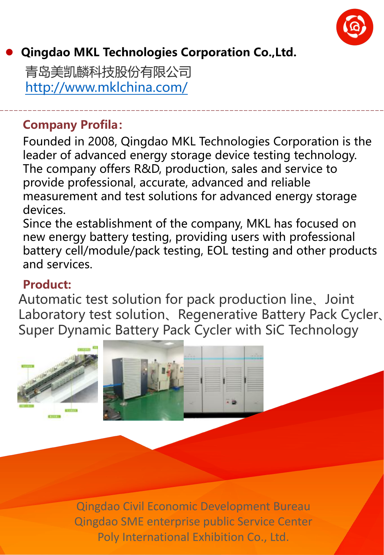

# l **Qingdao MKL Technologies Corporation Co.,Ltd.**

青岛美凯麟科技股份有限公司 http://www.mklchina.com/

#### **Company Profila:**

Founded in 2008, Qingdao MKL Technologies Corporation is the leader of advanced energy storage device testing technology. The company offers R&D, production, sales and service to provide professional, accurate, advanced and reliable measurement and test solutions for advanced energy storage devices.

Since the establishment of the company, MKL has focused on new energy battery testing, providing users with professional battery cell/module/pack testing, EOL testing and other products and services.

#### **Product:**

Automatic test solution for pack production line、Joint Laboratory test solution、Regenerative Battery Pack Cycler、 Super Dynamic Battery Pack Cycler with SiC Technology

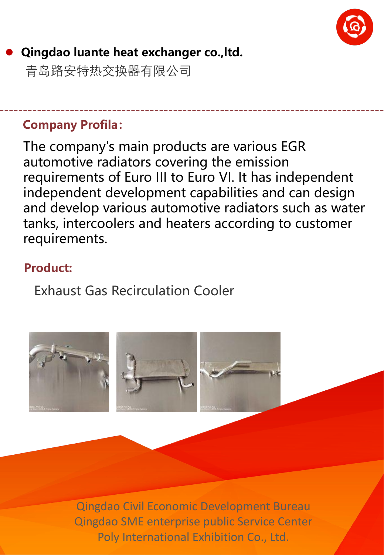

# l **Qingdao luante heat exchanger co.,ltd.**

青岛路安特热交换器有限公司

#### **Company Profila:**

The company's main products are various EGR automotive radiators covering the emission requirements of Euro III to Euro VI. It has independent independent development capabilities and can design and develop various automotive radiators such as water tanks, intercoolers and heaters according to customer requirements.

#### **Product:**

Exhaust Gas Recirculation Cooler

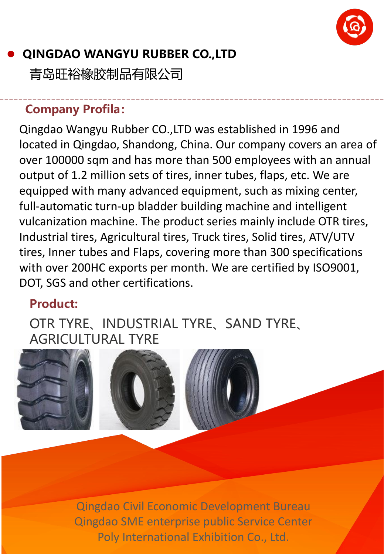

# l **QINGDAO WANGYU RUBBER CO.,LTD**

青岛旺裕橡胶制品有限公司

#### **Company Profila:**

Qingdao Wangyu Rubber CO.,LTD was established in 1996 and located in Qingdao, Shandong, China. Our company covers an area of over 100000 sqm and has more than 500 employees with an annual output of 1.2 million sets of tires, inner tubes, flaps, etc. We are equipped with many advanced equipment, such as mixing center, full-automatic turn-up bladder building machine and intelligent vulcanization machine. The product series mainly include OTR tires, Industrial tires, Agricultural tires, Truck tires, Solid tires, ATV/UTV tires, Inner tubes and Flaps, covering more than 300 specifications with over 200HC exports per month. We are certified by ISO9001, DOT, SGS and other certifications.

#### **Product:**

OTR TYRE、INDUSTRIAL TYRE、SAND TYRE、 AGRICULTURAL TYRE





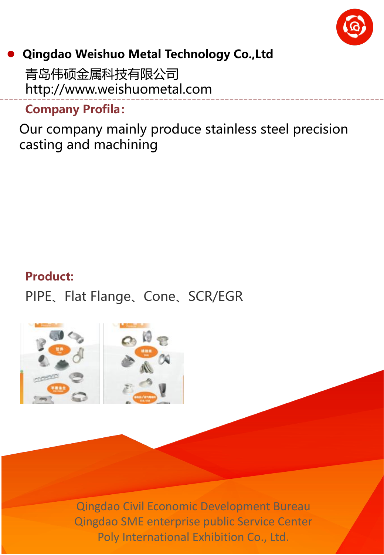

#### l **Qingdao Weishuo Metal Technology Co.,Ltd**

青岛伟硕金属科技有限公司 http://www.weishuometal.com

**Company Profila:**

Our company mainly produce stainless steel precision casting and machining

#### **Product:**

PIPE、Flat Flange、Cone、SCR/EGR

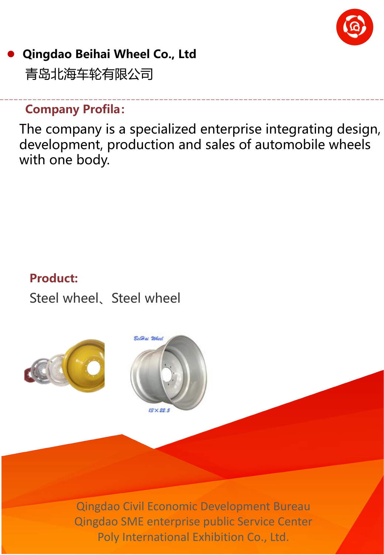

# **Qingdao Beihai Wheel Co., Ltd**

青岛北海车轮有限公司

#### **Company Profila:**

The company is a specialized enterprise integrating design, development, production and sales of automobile wheels with one body.

#### **Product:**

Steel wheel、Steel wheel



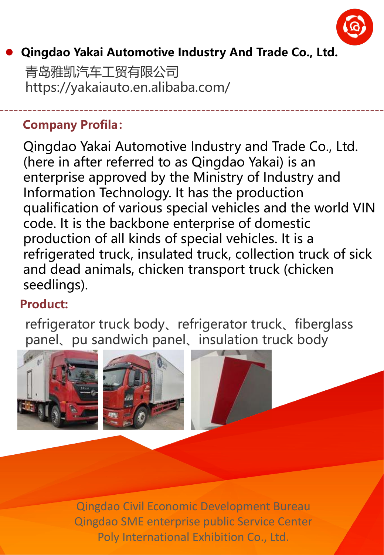

#### l **Qingdao Yakai Automotive Industry And Trade Co., Ltd.**

青岛雅凯汽车工贸有限公司 https://yakaiauto.en.alibaba.com/

#### **Company Profila:**

Qingdao Yakai Automotive Industry and Trade Co., Ltd. (here in after referred to as Qingdao Yakai) is an enterprise approved by the Ministry of Industry and Information Technology. It has the production qualification of various special vehicles and the world VIN code. It is the backbone enterprise of domestic production of all kinds of special vehicles. It is a refrigerated truck, insulated truck, collection truck of sick and dead animals, chicken transport truck (chicken seedlings).

#### **Product:**

refrigerator truck body、refrigerator truck、fiberglass panel、pu sandwich panel、insulation truck body





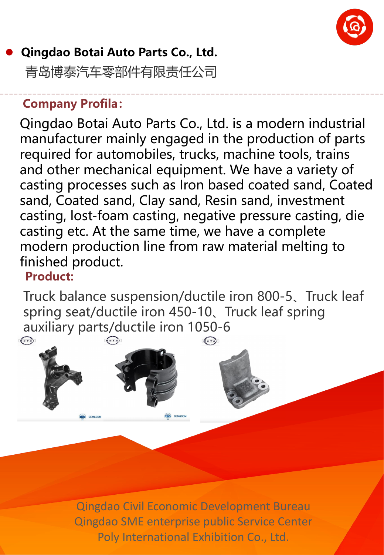

# l **Qingdao Botai Auto Parts Co., Ltd.** 青岛博泰汽车零部件有限责任公司

#### **Company Profila:**

Qingdao Botai Auto Parts Co., Ltd. is a modern industrial manufacturer mainly engaged in the production of parts required for automobiles, trucks, machine tools, trains and other mechanical equipment. We have a variety of casting processes such as Iron based coated sand, Coated sand, Coated sand, Clay sand, Resin sand, investment casting, lost-foam casting, negative pressure casting, die casting etc. At the same time, we have a complete modern production line from raw material melting to finished product.

#### **Product:**

**OEM&ODI** 

Truck balance suspension/ductile iron 800-5、Truck leaf spring seat/ductile iron 450-10、Truck leaf spring auxiliary parts/ductile iron 1050-6 $\sqrt{p}$  $\sqrt{2}$  $\widehat{\mathbf{R}}$ 

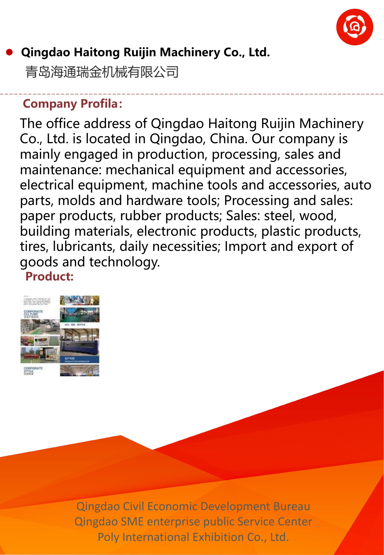

## l **Qingdao Haitong Ruijin Machinery Co., Ltd.**

青岛海通瑞金机械有限公司

#### **Company Profila:**

The office address of Qingdao Haitong Ruijin Machinery Co., Ltd. is located in Qingdao, China. Our company is mainly engaged in production, processing, sales and maintenance: mechanical equipment and accessories, electrical equipment, machine tools and accessories, auto parts, molds and hardware tools; Processing and sales: paper products, rubber products; Sales: steel, wood, building materials, electronic products, plastic products, tires, lubricants, daily necessities; Import and export of goods and technology. **Product:**